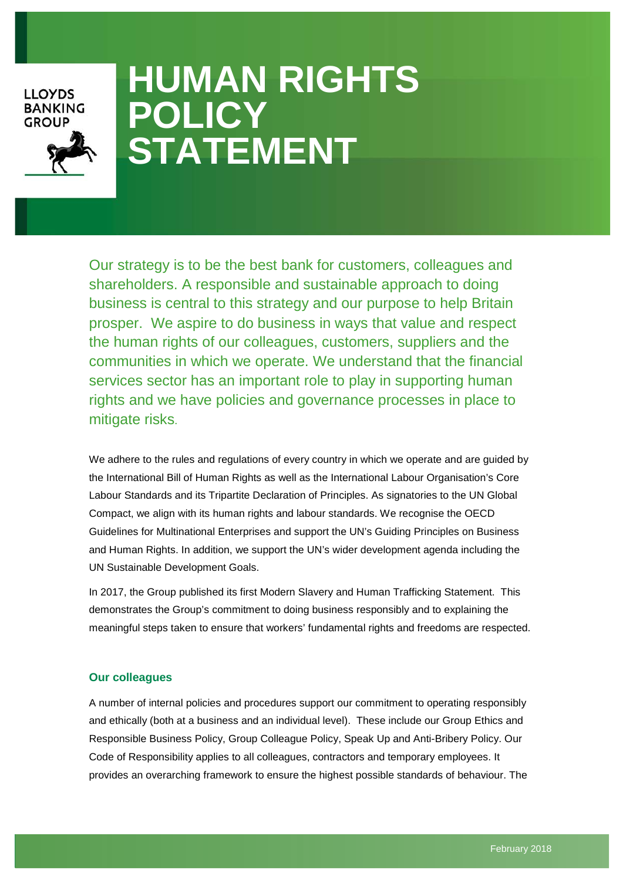## **LLOYDS BANKING GROUP**



# **HUMAN RIGHTS POLICY STATEMENT**

Our strategy is to be the best bank for customers, colleagues and shareholders. A responsible and sustainable approach to doing business is central to this strategy and our purpose to help Britain prosper. We aspire to do business in ways that value and respect the human rights of our colleagues, customers, suppliers and the communities in which we operate. We understand that the financial services sector has an important role to play in supporting human rights and we have policies and governance processes in place to mitigate risks.

We adhere to the rules and regulations of every country in which we operate and are guided by the International Bill of Human Rights as well as the International Labour Organisation's Core Labour Standards and its Tripartite Declaration of Principles. As signatories to the [UN Global](https://www.unglobalcompact.org/)  [Compact,](https://www.unglobalcompact.org/) we align with its human rights and labour standards. We recognise the OECD Guidelines for Multinational Enterprises and support the [UN's Guiding Principles on Business](http://www.ohchr.org/Documents/Publications/GuidingPrinciplesBusinessHR_EN.pdf)  [and Human Rights.](http://www.ohchr.org/Documents/Publications/GuidingPrinciplesBusinessHR_EN.pdf) In addition, we support the UN's wider development agenda including the [UN Sustainable Development Goals.](http://www.un.org/sustainabledevelopment/sustainable-development-goals/)

In 2017, the Group published its first Modern Slavery and Human Trafficking Statement. This demonstrates the Group's commitment to doing business responsibly and to explaining the meaningful steps taken to ensure that workers' fundamental rights and freedoms are respected.

### **Our colleagues**

A number of internal policies and procedures support our commitment to operating responsibly and ethically (both at a business and an individual level). These include our Group Ethics and Responsible Business Policy, Group Colleague Policy, Speak Up and Anti-Bribery Policy. Our Code of Responsibility applies to all colleagues, contractors and temporary employees. It provides an overarching framework to ensure the highest possible standards of behaviour. The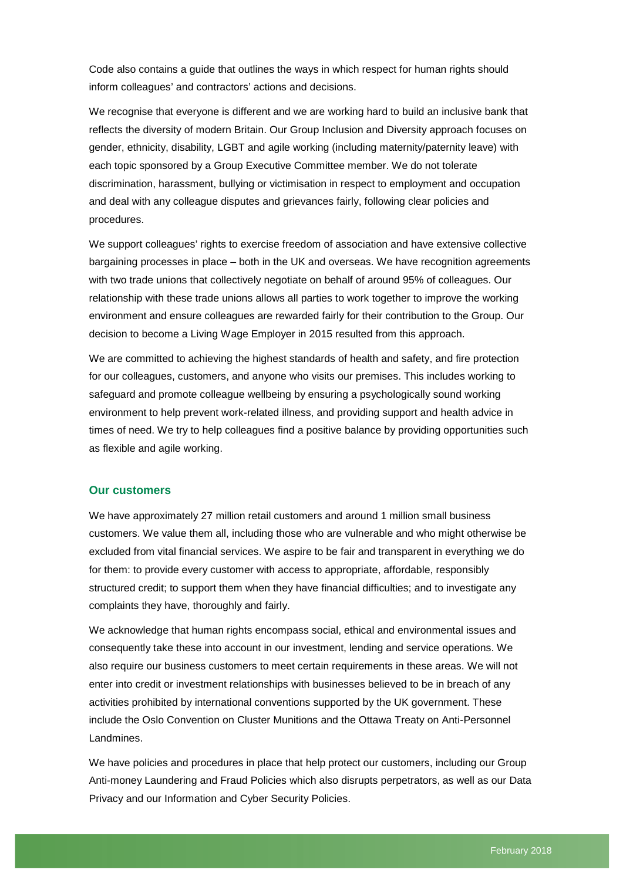Code also contains a guide that outlines the ways in which respect for human rights should inform colleagues' and contractors' actions and decisions.

We recognise that everyone is different and we are working hard to build an inclusive bank that reflects the diversity of modern Britain. Our Group Inclusion and Diversity approach focuses on gender, ethnicity, disability, LGBT and agile working (including maternity/paternity leave) with each topic sponsored by a Group Executive Committee member. We do not tolerate discrimination, harassment, bullying or victimisation in respect to employment and occupation and deal with any colleague disputes and grievances fairly, following clear policies and procedures.

We support colleagues' rights to exercise freedom of association and have extensive collective bargaining processes in place – both in the UK and overseas. We have recognition agreements with two trade unions that collectively negotiate on behalf of around 95% of colleagues. Our relationship with these trade unions allows all parties to work together to improve the working environment and ensure colleagues are rewarded fairly for their contribution to the Group. Our decision to become a Living Wage Employer in 2015 resulted from this approach.

We are committed to achieving the highest standards of health and safety, and fire protection for our colleagues, customers, and anyone who visits our premises. This includes working to safeguard and promote colleague wellbeing by ensuring a psychologically sound working environment to help prevent work-related illness, and providing support and health advice in times of need. We try to help colleagues find a positive balance by providing opportunities such as flexible and agile working.

#### **Our customers**

We have approximately 27 million retail customers and around 1 million small business customers. We value them all, including those who are vulnerable and who might otherwise be excluded from vital financial services. We aspire to be fair and transparent in everything we do for them: to provide every customer with access to appropriate, affordable, responsibly structured credit; to support them when they have financial difficulties; and to investigate any complaints they have, thoroughly and fairly.

We acknowledge that human rights encompass social, ethical and environmental issues and consequently take these into account in our investment, lending and service operations. We also require our business customers to meet certain requirements in these areas. We will not enter into credit or investment relationships with businesses believed to be in breach of any activities prohibited by international conventions supported by the UK government. These include the Oslo Convention on Cluster Munitions and the Ottawa Treaty on Anti-Personnel Landmines.

We have policies and procedures in place that help protect our customers, including our Group Anti-money Laundering and Fraud Policies which also disrupts perpetrators, as well as our Data Privacy and our Information and Cyber Security Policies.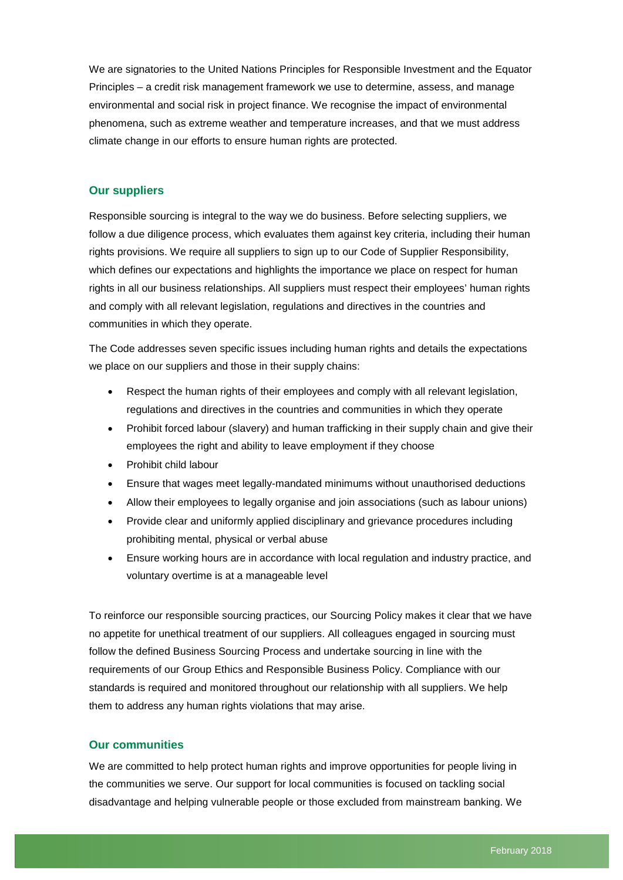We are signatories to the United Nations Principles for Responsible Investment and the Equator Principles – a credit risk management framework we use to determine, assess, and manage environmental and social risk in project finance. We recognise the impact of environmental phenomena, such as extreme weather and temperature increases, and that we must address climate change in our efforts to ensure human rights are protected.

#### **Our suppliers**

Responsible sourcing is integral to the way we do business. Before selecting suppliers, we follow a due diligence process, which evaluates them against key criteria, including their human rights provisions. We require all suppliers to sign up to our [Code of Supplier Responsibility,](http://www.lloydsbankinggroup.com/globalassets/our-group/suppliers/responsible-sourcing/lbg-code-of-supplier-responsibility_v17_04-12-14-final.pdf) which defines our expectations and highlights the importance we place on respect for human rights in all our business relationships. All suppliers must respect their employees' human rights and comply with all relevant legislation, regulations and directives in the countries and communities in which they operate.

The Code addresses seven specific issues including human rights and details the expectations we place on our suppliers and those in their supply chains:

- Respect the human rights of their employees and comply with all relevant legislation, regulations and directives in the countries and communities in which they operate
- Prohibit forced labour (slavery) and human trafficking in their supply chain and give their employees the right and ability to leave employment if they choose
- Prohibit child labour
- Ensure that wages meet legally-mandated minimums without unauthorised deductions
- Allow their employees to legally organise and join associations (such as labour unions)
- Provide clear and uniformly applied disciplinary and grievance procedures including prohibiting mental, physical or verbal abuse
- Ensure working hours are in accordance with local regulation and industry practice, and voluntary overtime is at a manageable level

To reinforce our responsible sourcing practices, our Sourcing Policy makes it clear that we have no appetite for unethical treatment of our suppliers. All colleagues engaged in sourcing must follow the defined Business Sourcing Process and undertake sourcing in line with the requirements of our Group Ethics and Responsible Business Policy. Compliance with our standards is required and monitored throughout our relationship with all suppliers. We help them to address any human rights violations that may arise.

#### **Our communities**

We are committed to help protect human rights and improve opportunities for people living in the communities we serve. Our support for local communities is focused on tackling social disadvantage and helping vulnerable people or those excluded from mainstream banking. We